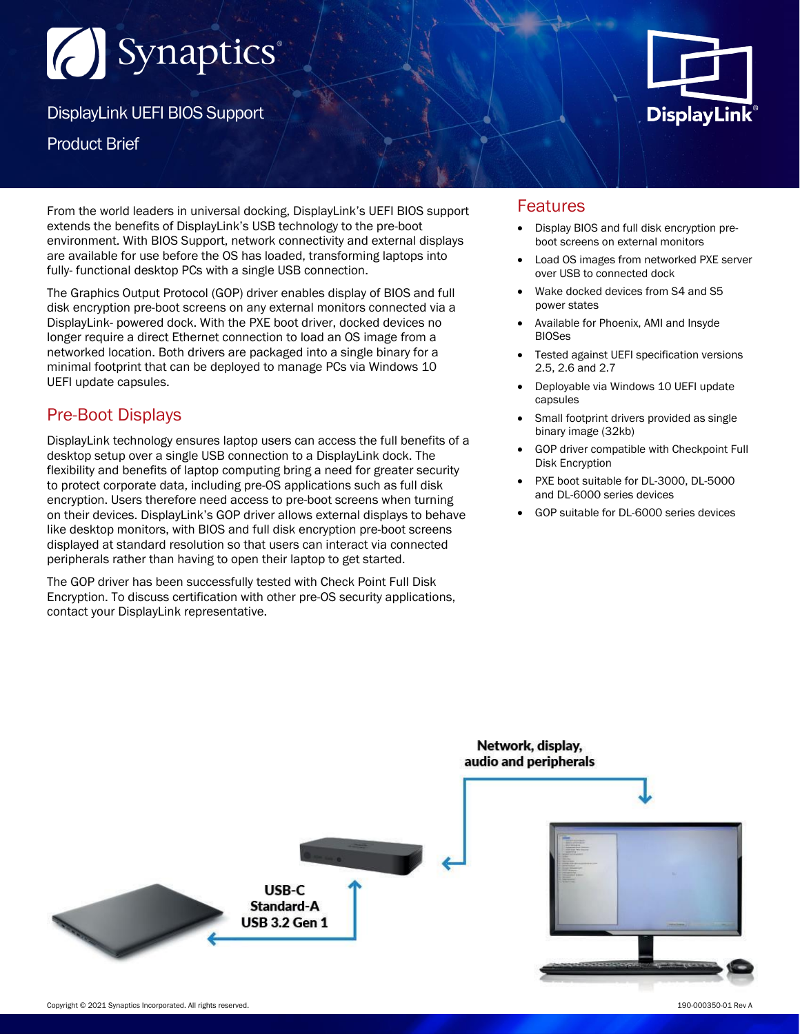# (C) Synaptics

DisplayLink UEFI BIOS Support

Product Brief

From the world leaders in universal docking, DisplayLink's UEFI BIOS support extends the benefits of DisplayLink's USB technology to the pre-boot environment. With BIOS Support, network connectivity and external displays are available for use before the OS has loaded, transforming laptops into fully- functional desktop PCs with a single USB connection.

The Graphics Output Protocol (GOP) driver enables display of BIOS and full disk encryption pre-boot screens on any external monitors connected via a DisplayLink- powered dock. With the PXE boot driver, docked devices no longer require a direct Ethernet connection to load an OS image from a networked location. Both drivers are packaged into a single binary for a minimal footprint that can be deployed to manage PCs via Windows 10 UEFI update capsules.

## Pre-Boot Displays

DisplayLink technology ensures laptop users can access the full benefits of a desktop setup over a single USB connection to a DisplayLink dock. The flexibility and benefits of laptop computing bring a need for greater security to protect corporate data, including pre-OS applications such as full disk encryption. Users therefore need access to pre-boot screens when turning on their devices. DisplayLink's GOP driver allows external displays to behave like desktop monitors, with BIOS and full disk encryption pre-boot screens displayed at standard resolution so that users can interact via connected peripherals rather than having to open their laptop to get started.

The GOP driver has been successfully tested with Check Point Full Disk Encryption. To discuss certification with other pre-OS security applications, contact your DisplayLink representative.



## Features

- Display BIOS and full disk encryption preboot screens on external monitors
- Load OS images from networked PXE server over USB to connected dock
- Wake docked devices from S4 and S5 power states
- Available for Phoenix, AMI and Insyde BIOSes
- Tested against UEFI specification versions 2.5, 2.6 and 2.7
- Deployable via Windows 10 UEFI update capsules
- Small footprint drivers provided as single binary image (32kb)
- GOP driver compatible with Checkpoint Full Disk Encryption
- PXE boot suitable for DL-3000, DL-5000 and DL-6000 series devices
- GOP suitable for DL-6000 series devices